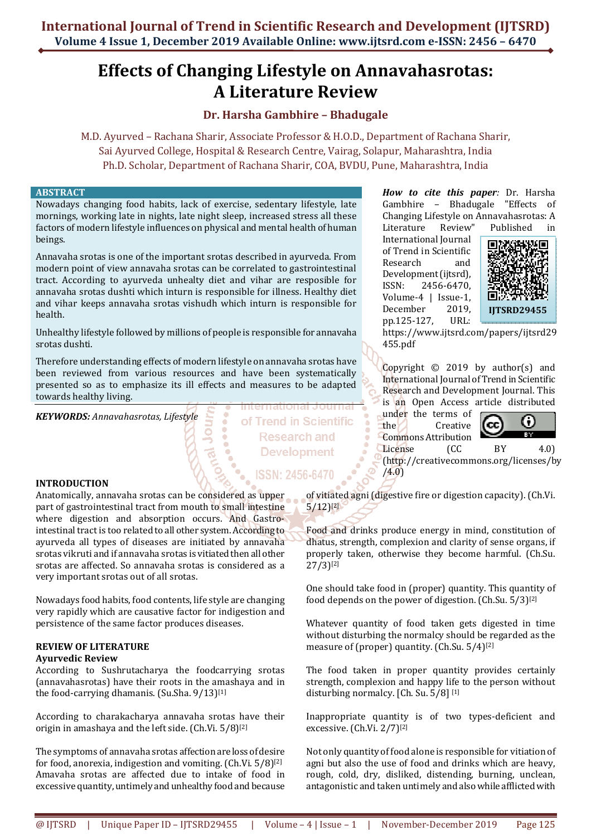# **Effects of Changing Lifestyle on Annavahasrotas: A Literature Review**

# **Dr. Harsha Gambhire – Bhadugale**

M.D. Ayurved – Rachana Sharir, Associate Professor & H.O.D., Department of Rachana Sharir, Sai Ayurved College, Hospital & Research Centre, Vairag, Solapur, Maharashtra, India Ph.D. Scholar, Department of Rachana Sharir, COA, BVDU, Pune, Maharashtra, India

of Trend in Scientific

**Research and Development** 

**ISSN: 2456-6470** 

# **ABSTRACT**

Nowadays changing food habits, lack of exercise, sedentary lifestyle, late mornings, working late in nights, late night sleep, increased stress all these factors of modern lifestyle influences on physical and mental health of human beings.

Annavaha srotas is one of the important srotas described in ayurveda. From modern point of view annavaha srotas can be correlated to gastrointestinal tract. According to ayurveda unhealty diet and vihar are resposible for annavaha srotas dushti which inturn is responsible for illness. Healthy diet and vihar keeps annavaha srotas vishudh which inturn is responsible for health.

Unhealthy lifestyle followed by millions of people is responsible for annavaha srotas dushti.

Therefore understanding effects of modern lifestyle on annavaha srotas have been reviewed from various resources and have been systematically presented so as to emphasize its ill effects and measures to be adapted towards healthy living.

*KEYWORDS: Annavahasrotas, Lifestyle* 

# **INTRODUCTION**

Anatomically, annavaha srotas can be considered as upper part of gastrointestinal tract from mouth to small intestine where digestion and absorption occurs. And Gastrointestinal tract is too related to all other system. According to ayurveda all types of diseases are initiated by annavaha srotas vikruti and if annavaha srotas is vitiated then all other srotas are affected. So annavaha srotas is considered as a very important srotas out of all srotas.

Nowadays food habits, food contents, life style are changing very rapidly which are causative factor for indigestion and persistence of the same factor produces diseases.

# **REVIEW OF LITERATURE**

#### **Ayurvedic Review**

According to Sushrutacharya the foodcarrying srotas (annavahasrotas) have their roots in the amashaya and in the food-carrying dhamanis. (Su.Sha. 9/13)[1]

According to charakacharya annavaha srotas have their origin in amashaya and the left side. (Ch.Vi. 5/8)[2]

The symptoms of annavaha srotas affection are loss of desire for food, anorexia, indigestion and vomiting. (Ch.Vi. 5/8)[2] Amavaha srotas are affected due to intake of food in excessive quantity, untimely and unhealthy food and because

*How to cite this paper:* Dr. Harsha Gambhire – Bhadugale "Effects of Changing Lifestyle on Annavahasrotas: A

Literature Review" Published in International Journal of Trend in Scientific Research and Development (ijtsrd), ISSN: 2456-6470, Volume-4 | Issue-1, December 2019, pp.125-127, URL:



https://www.ijtsrd.com/papers/ijtsrd29 455.pdf

Copyright © 2019 by author(s) and International Journal of Trend in Scientific Research and Development Journal. This is an Open Access article distributed

under the terms of the Creative Commons Attribution



License (CC BY 4.0) (http://creativecommons.org/licenses/by /4.0)

of vitiated agni (digestive fire or digestion capacity). (Ch.Vi. 5/12)[2]

Food and drinks produce energy in mind, constitution of dhatus, strength, complexion and clarity of sense organs, if properly taken, otherwise they become harmful. (Ch.Su. 27/3)[2]

One should take food in (proper) quantity. This quantity of food depends on the power of digestion. (Ch.Su. 5/3) [2]

Whatever quantity of food taken gets digested in time without disturbing the normalcy should be regarded as the measure of (proper) quantity. (Ch.Su. 5/4)[2]

The food taken in proper quantity provides certainly strength, complexion and happy life to the person without disturbing normalcy. [Ch. Su. 5/8] [1]

Inappropriate quantity is of two types-deficient and excessive. (Ch.Vi. 2/7)[2]

Not only quantity of food alone is responsible for vitiation of agni but also the use of food and drinks which are heavy, rough, cold, dry, disliked, distending, burning, unclean, antagonistic and taken untimely and also while afflicted with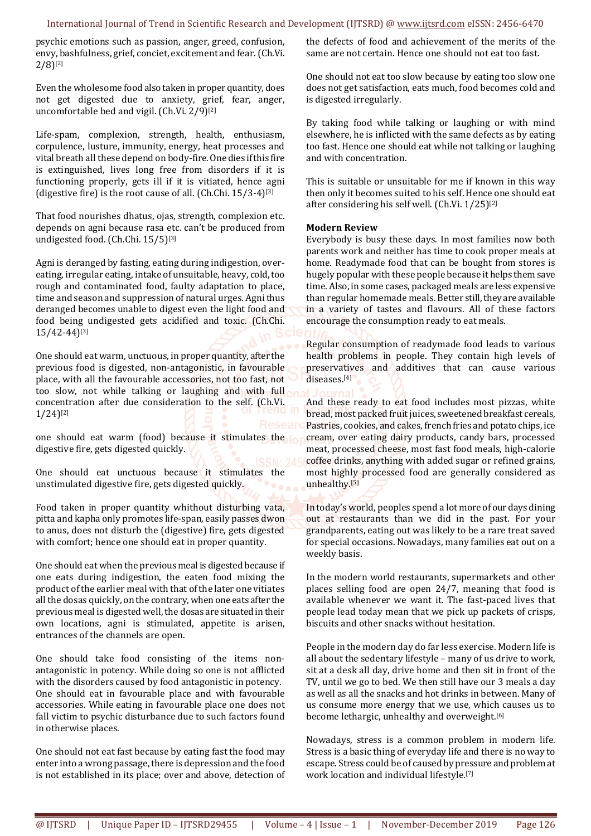### International Journal of Trend in Scientific Research and Development (IJTSRD) @ www.ijtsrd.com eISSN: 2456-6470

psychic emotions such as passion, anger, greed, confusion, envy, bashfulness, grief, conciet, excitement and fear. (Ch.Vi.  $2/8$ <sup>[2]</sup>

Even the wholesome food also taken in proper quantity, does not get digested due to anxiety, grief, fear, anger, uncomfortable bed and vigil. (Ch.Vi. 2/9)[2]

Life-spam, complexion, strength, health, enthusiasm, corpulence, lusture, immunity, energy, heat processes and vital breath all these depend on body-fire. One dies if this fire is extinguished, lives long free from disorders if it is functioning properly, gets ill if it is vitiated, hence agni (digestive fire) is the root cause of all. (Ch.Chi. 15/3-4)[3]

That food nourishes dhatus, ojas, strength, complexion etc. depends on agni because rasa etc. can't be produced from undigested food. (Ch.Chi. 15/5)[3]

Agni is deranged by fasting, eating during indigestion, overeating, irregular eating, intake of unsuitable, heavy, cold, too rough and contaminated food, faulty adaptation to place, time and season and suppression of natural urges. Agni thus deranged becomes unable to digest even the light food and food being undigested gets acidified and toxic. (Ch.Chi. 15/42-44)[3]

One should eat warm, unctuous, in proper quantity, after the previous food is digested, non-antagonistic, in favourable place, with all the favourable accessories, not too fast, not too slow, not while talking or laughing and with full concentration after due consideration to the self. (Ch.Vi. 1/24)[2]

one should eat warm (food) because it stimulates the digestive fire, gets digested quickly.

One should eat unctuous because it stimulates the unstimulated digestive fire, gets digested quickly.

Food taken in proper quantity whithout disturbing vata, pitta and kapha only promotes life-span, easily passes dwon to anus, does not disturb the (digestive) fire, gets digested with comfort; hence one should eat in proper quantity.

One should eat when the previous meal is digested because if one eats during indigestion, the eaten food mixing the product of the earlier meal with that of the later one vitiates all the dosas quickly, on the contrary, when one eats after the previous meal is digested well, the dosas are situated in their own locations, agni is stimulated, appetite is arisen, entrances of the channels are open.

One should take food consisting of the items nonantagonistic in potency. While doing so one is not afflicted with the disorders caused by food antagonistic in potency. One should eat in favourable place and with favourable accessories. While eating in favourable place one does not fall victim to psychic disturbance due to such factors found in otherwise places.

One should not eat fast because by eating fast the food may enter into a wrong passage, there is depression and the food is not established in its place; over and above, detection of the defects of food and achievement of the merits of the same are not certain. Hence one should not eat too fast.

One should not eat too slow because by eating too slow one does not get satisfaction, eats much, food becomes cold and is digested irregularly.

By taking food while talking or laughing or with mind elsewhere, he is inflicted with the same defects as by eating too fast. Hence one should eat while not talking or laughing and with concentration.

This is suitable or unsuitable for me if known in this way then only it becomes suited to his self. Hence one should eat after considering his self well. (Ch.Vi. 1/25)[2]

# **Modern Review**

Everybody is busy these days. In most families now both parents work and neither has time to cook proper meals at home. Readymade food that can be bought from stores is hugely popular with these people because it helps them save time. Also, in some cases, packaged meals are less expensive than regular homemade meals. Better still, they are available in a variety of tastes and flavours. All of these factors encourage the consumption ready to eat meals.

Regular consumption of readymade food leads to various health problems in people. They contain high levels of preservatives and additives that can cause various diseases.[4]

And these ready to eat food includes most pizzas, white bread, most packed fruit juices, sweetened breakfast cereals, Pastries, cookies, and cakes, french fries and potato chips, ice cream, over eating dairy products, candy bars, processed meat, processed cheese, most fast food meals, high-calorie coffee drinks, anything with added sugar or refined grains, most highly processed food are generally considered as unhealthy.<sup>[5]</sup>

In today's world, peoples spend a lot more of our days dining out at restaurants than we did in the past. For your grandparents, eating out was likely to be a rare treat saved for special occasions. Nowadays, many families eat out on a weekly basis.

In the modern world restaurants, supermarkets and other places selling food are open 24/7, meaning that food is available whenever we want it. The fast-paced lives that people lead today mean that we pick up packets of crisps, biscuits and other snacks without hesitation.

People in the modern day do far less exercise. Modern life is all about the sedentary lifestyle – many of us drive to work, sit at a desk all day, drive home and then sit in front of the TV, until we go to bed. We then still have our 3 meals a day as well as all the snacks and hot drinks in between. Many of us consume more energy that we use, which causes us to become lethargic, unhealthy and overweight.[6]

Nowadays, stress is a common problem in modern life. Stress is a basic thing of everyday life and there is no way to escape. Stress could be of caused by pressure and problem at work location and individual lifestyle.[7]